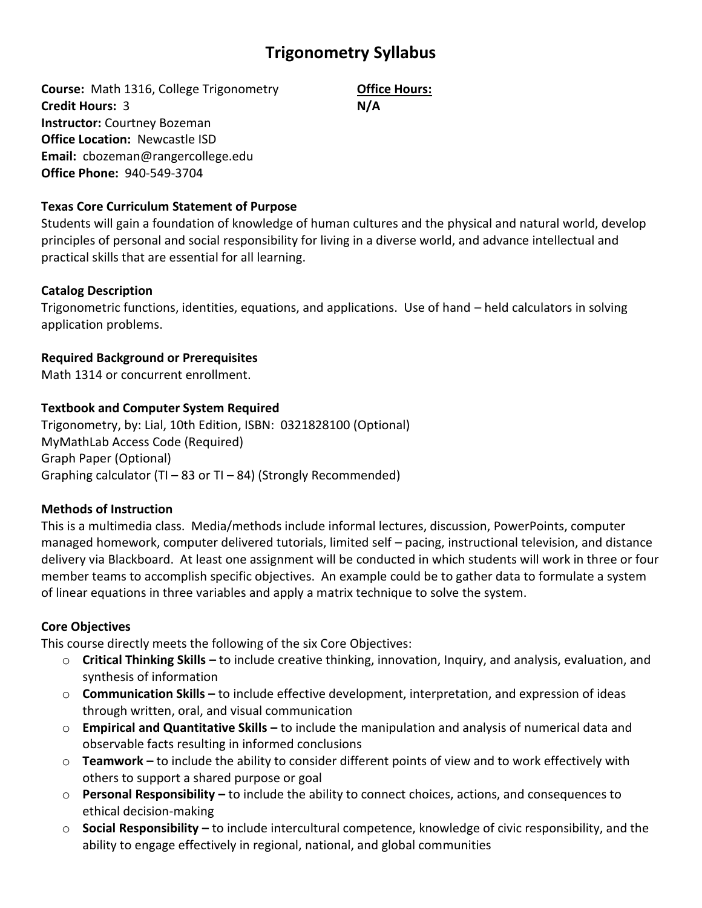# **Trigonometry Syllabus**

**Course:** Math 1316, College Trigonometry **Credit Hours:** 3 **Instructor:** Courtney Bozeman **Office Location:** Newcastle ISD **Email:** cbozeman@rangercollege.edu **Office Phone:** 940-549-3704

# **Office Hours: N/A**

## **Texas Core Curriculum Statement of Purpose**

Students will gain a foundation of knowledge of human cultures and the physical and natural world, develop principles of personal and social responsibility for living in a diverse world, and advance intellectual and practical skills that are essential for all learning.

## **Catalog Description**

Trigonometric functions, identities, equations, and applications. Use of hand – held calculators in solving application problems.

# **Required Background or Prerequisites**

Math 1314 or concurrent enrollment.

## **Textbook and Computer System Required**

Trigonometry, by: Lial, 10th Edition, ISBN: 0321828100 (Optional) MyMathLab Access Code (Required) Graph Paper (Optional) Graphing calculator (TI – 83 or TI – 84) (Strongly Recommended)

# **Methods of Instruction**

This is a multimedia class. Media/methods include informal lectures, discussion, PowerPoints, computer managed homework, computer delivered tutorials, limited self – pacing, instructional television, and distance delivery via Blackboard. At least one assignment will be conducted in which students will work in three or four member teams to accomplish specific objectives. An example could be to gather data to formulate a system of linear equations in three variables and apply a matrix technique to solve the system.

#### **Core Objectives**

This course directly meets the following of the six Core Objectives:

- o **Critical Thinking Skills –** to include creative thinking, innovation, Inquiry, and analysis, evaluation, and synthesis of information
- o **Communication Skills –** to include effective development, interpretation, and expression of ideas through written, oral, and visual communication
- o **Empirical and Quantitative Skills –** to include the manipulation and analysis of numerical data and observable facts resulting in informed conclusions
- o **Teamwork –** to include the ability to consider different points of view and to work effectively with others to support a shared purpose or goal
- o **Personal Responsibility –** to include the ability to connect choices, actions, and consequences to ethical decision-making
- o **Social Responsibility –** to include intercultural competence, knowledge of civic responsibility, and the ability to engage effectively in regional, national, and global communities